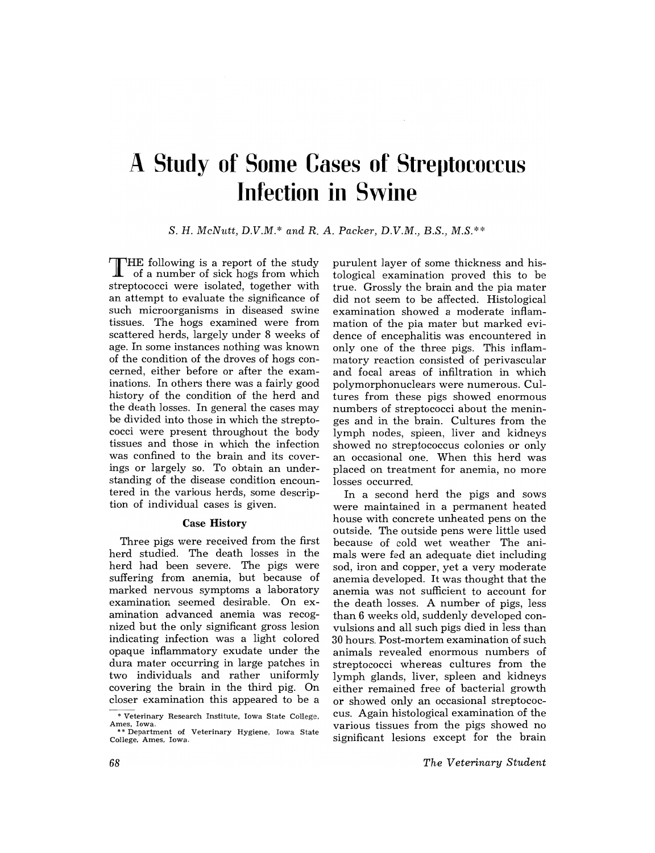# **A Study of Some Cases of Streptococcus Infection in Swine**

S. H. *McNutt, D.V.M.\* and* R. *A. Packer, D.V.M., B.S., M.S.\*\** 

THE following is a report of the study of a number of sick hogs from which streptococci were isolated, together with an attempt to evaluate the significance of such microorganisms in diseased swine tissues. The hogs examined were from scattered herds, largely under 8 weeks of age. In some instances nothing was known of the condition of the droves of hogs concerned, either before or after the examinations. In others there was a fairly good history of the condition of the herd and the death losses. In general the cases may be divided into those in which the streptococci were present throughout the body tissues and those in which the infection was confined to the brain and its coverings or largely so. To obtain an understanding of the disease condition encountered in the various herds, some description of individual cases is given.

#### Case History

Three pigs were received from the first herd studied. The death losses in the herd had been severe. The pigs were suffering from anemia, but because of marked nervous symptoms a laboratory examination seemed desirable. On examination advanced anemia was recognized but the only significant gross lesion indicating infection was a light colored opaque inflammatory exudate under the dura mater occurring in large patches in two individuals and rather uniformly covering the brain in the third pig. On closer examination this appeared to be a purulent layer of some thickness and histological examination proved this to be true. Grossly the brain and the pia mater did not seem to be affected. Histological examination showed a moderate inflammation of the pia mater but marked evidence of encephalitis was encountered in only one of the three pigs. This inflammatory reaction consisted of perivascular and focal areas of infiltration in which polymorphonuclears were numerous. Cultures from these pigs showed enormous numbers of streptococci about the meninges and in the brain. Cultures from the lymph nodes, spleen, liver and kidneys showed no streptococcus colonies or only an occasional one. When this herd was placed on treatment for anemia, no more losses occurred.

In a second herd the pigs and sows were maintained in a permanent heated house with concrete unheated pens on the outside. The outside pens were little used because of cold wet weather The animals were fed an adequate diet including sod, iron and copper, yet a very moderate anemia developed. It was thought that the anemia was not sufficient to account for the death losses. A number of pigs, less than 6 weeks old, suddenly developed convulsions and all such pigs died in less than 30 hours. Post-mortem examination of such animals revealed enormous numbers of streptococci whereas cultures from the lymph glands, liver, spleen and kidneys either remained free of bacterial growth or showed only an occasional streptococcus. Again histological examination of the various tissues from the pigs showed no significant lesions except for the brain

<sup>&</sup>quot; Veterinary Research Institute. Iowa State College. Ames, Iowa. \* \* Department of Veterinary Hygiene. Iowa State

College. Ames, Iowa.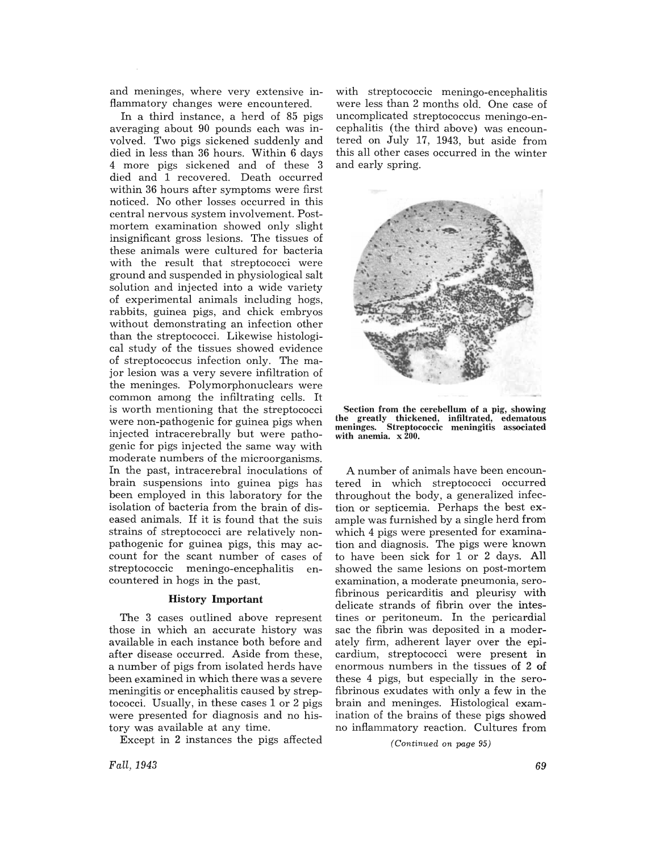and meninges, where very extensive inflammatory changes were encountered.

In a third instance, a herd of 85 pigs averaging about 90 pounds each was involved. Two pigs sickened suddenly and died in less than 36 hours. Within 6 days 4 more pigs sickened and of these 3 died and 1 recovered. Death occurred within 36 hours after symptoms were first noticed. No other losses occurred in this central nervous system involvement. Postmortem examination showed only slight insignificant gross lesions. The tissues of these animals were cultured for bacteria with the result that streptococci were ground and suspended in physiological salt solution and injected into a wide variety of experimental animals including hogs, rabbits, guinea pigs, and chick embryos without demonstrating an infection other than the streptococci. Likewise histological study of the tissues showed evidence of streptococcus infection only. The major lesion was a very severe infiltration of the meninges. Polymorphonuclears were common among the infiltrating cells. It is worth mentioning that the streptococci were non-pathogenic for guinea pigs when injected intracerebrally but were pathogenic for pigs injected the same way with moderate numbers of the microorganisms. In the past, intracerebral inoculations of brain suspensions into guinea pigs has been employed in this laboratory for the isolation of bacteria from the brain of diseased animals. If it is found that the suis strains of streptococci are relatively nonpathogenic for guinea pigs, this may account for the scant number of cases of streptococcic meningo-encephalitis encountered in hogs in the past.

#### History **Important**

The 3 cases outlined above represent those in which an accurate history was available in each instance both before and after disease occurred. Aside from these, a number of pigs from isolated herds have been examined in which there was a severe meningitis or encephalitis caused by streptococci. Usually, in these cases 1 or 2 pigs were presented for diagnosis and no history was available at any time.

Except in 2 instances the pigs affected

with streptococcic meningo-encephalitis were less than 2 months old. One case of uncomplicated streptococcus meningo-encephalitis (the third above) was encountered on July 17, 1943, but aside from this all other cases occurred in the winter and early spring.



Section from the cerebellum of a pig, showing the greatly thickened, infiltrated, edematous meninges. Streptococcic meningitis associated with anemia. x 200.

A number of animals have been encountered in which streptococci occurred throughout the body, a generalized infection or septicemia. Perhaps the best example was furnished by a single herd from which 4 pigs were presented for examination and diagnosis. The pigs were known to have been sick for 1 or 2 days. All showed the same lesions on post-mortem examination, a moderate pneumonia, serofibrinous pericarditis and pleurisy with delicate strands of fibrin over the intestines or peritoneum. In the pericardial sac the fibrin was deposited in a moderately firm, adherent layer over the epicardium, streptococci were present in enormous numbers in the tissues of 2 of these 4 pigs, but especially in the serofibrinous exudates with only a few in the brain and meninges. Histological examination of the brains of these pigs showed no inflammatory reaction. Cultures from

*(Continued on page 95)* 

*Fall, 1943*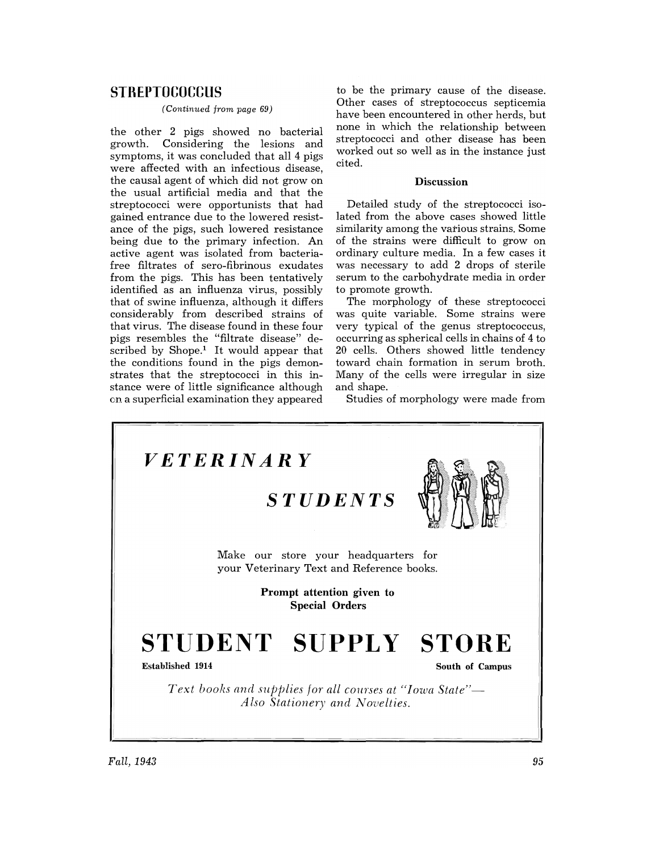## **STREPTOCOCCUS**

### *(Continued from page 69)*

the other 2 pigs showed no bacterial growth. Considering the lesions and symptoms, it was concluded that all 4 pigs were affected with an infectious disease, the causal agent of which did not grow on the usual artificial media and that the streptococci were opportunists that had gained entrance due to the lowered resistance of the pigs, such lowered resistance being due to the primary infection. An active agent was isolated from bacteriafree filtrates of sero-fibrinous exudates from the pigs. This has been tentatively identified as an influenza virus, possibly that of swine influenza, although it differs considerably from described strains of that virus. The disease found in these four pigs resembles the "filtrate disease" described by  $Shope<sup>1</sup>$  It would appear that the conditions found in the pigs demonstrates that the streptococci in this instance were of little significance although on a superficial examination they appeared

to be the primary cause of the disease. Other cases of streptococcus septicemia have been encountered in other herds, but none in which the relationship between streptococci and other disease has been worked out so well as in the instance just cited.

#### **Discussion**

Detailed study of the streptococci isolated from the above cases showed little similarity among the various strains. Some of the strains were difficult to grow on ordinary culture media. In a few cases it was necessary to add 2 drops of sterile serum to the carbohydrate media in order to promote growth.

The morphology of these streptococci was quite variable. Some strains were very typical of the genus streptococcus, occurring as spherical cells in chains of 4 to 20 cells. Others showed little tendency toward chain formation in serum broth. Many of the cells were irregular in size and shape.

Studies of morphology were made from

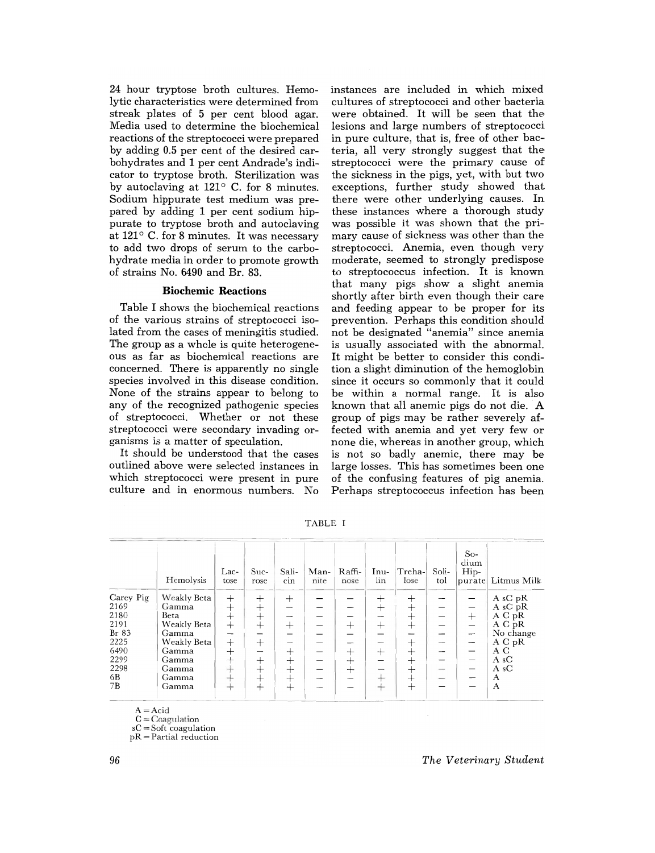24 hour tryptose broth cultures. Hemolytic characteristics were determined from streak plates of 5 per cent blood agar. Media used to determine the biochemical reactions of the streptococci were prepared by adding 0.5 per cent of the desired carbohydrates and 1 per cent Andrade's indicator to tryptose broth. Sterilization was by autoclaving at  $121^\circ$  C. for 8 minutes. Sodium hippurate test medium was prepared by adding 1 per cent sodium hippurate to tryptose broth and autoclaving at  $121^{\circ}$  C. for 8 minutes. It was necessary to add two drops of serum to the carbohydrate media in order to promote growth of strains No. 6490 and Br. 83.

#### Biochemic Reactions

Table I shows the biochemical reactions of the various strains of streptococci isolated from the cases of meningitis studied. The group as a whole is quite heterogeneous as far as biochemical reactions are concerned. There is apparently no single species involved in this disease condition. None of the strains appear to belong to any of the recognized pathogenic species of streptococci. Whether or not these streptococci were secondary invading organisms is a matter of speculation.

It should be understood that the cases outlined above were selected instances in which streptococci were present in pure culture and in enormous numbers. No

instances are included in which mixed cultures of streptococci and other bacteria were obtained. It will be seen that the lesions and large numbers of streptococci in pure culture, that is, free of other bacteria, all very strongly suggest that the streptococci were the primary cause of the sickness in the pigs, yet, with but two exceptions, further study showed that there were other underlying causes. In these instances where a thorough study was possible it was shown that the primary cause of sickness was other than the streptococci. Anemia, even though very moderate, seemed to strongly predispose to streptococcus infection. It is known that many pigs show a slight anemia shortly after birth even though their care and feeding appear to be proper for its prevention. Perhaps this condition should not be designated "anemia" since anemia is usually associated with the abnormal. It might be better to consider this condition a slight diminution of the hemoglobin since it occurs so commonly that it could be within a normal range. It is also known that all anemic pigs do not die. A group of pigs may be rather severely affected with anemia and yet very few or none die, whereas in another group, which is not so badly anemic, there may be large losses. This has sometimes been one of the confusing features of pig anemia. Perhaps streptococcus infection has been

|           | Hemolysis   | Lac-<br>tose | Suc-<br>rose    | Sali-<br>cin | Man-<br>nite | Raffi-<br>nose | Inu-<br>lin | Treha-<br>lose | Soli-<br>tol | $So-$<br>dium<br>Hip-    | purate Litmus Milk |
|-----------|-------------|--------------|-----------------|--------------|--------------|----------------|-------------|----------------|--------------|--------------------------|--------------------|
| Carey Pig | Weakly Beta | $^{+}$       | $^+$            | $^{+}$       |              |                | ┿           | $^+$           |              |                          | A sC pR            |
| 2169      | Gamma       | $^{+}$       | $^{+}$          |              |              |                | $^{+}$      | $^+$           |              |                          | A sC $pR$          |
| 2180      | Beta        | $^{+}$       | $\pm$           |              |              |                |             | $^+$           |              | $^{+}$                   | A C pR             |
| 2191      | Weakly Beta | $^{+}$       | $^+$            | $^{+}$       |              | $^{+}$         | $^{+}$      | $^{+}$         |              |                          | A C pR             |
| Br 83     | Gamma       |              |                 |              |              |                |             |                |              | $\overline{\phantom{m}}$ | No change          |
| 2225      | Weakly Beta | $^{+}$       | $^{+}$          |              |              |                |             | $\div$         |              |                          | A C pR             |
| 6490      | Gamma       | $^+$         |                 | $^+$         |              | $^+$           | $^{+}$      | ┵              |              |                          | A C                |
| 2299      | Gamma       | ᆠ            | $^+$            | $^{+}$       |              | ┿              |             | $\div$         |              |                          | A <sub>s</sub> C   |
| 2298      | Gamma       | $\pm$        | $^{\mathrm{+}}$ | $\pm$        |              | $^+$           | -           | ┿              |              |                          | A <sub>s</sub> C   |
| 6B        | Gamma       |              | $^+$            | ┿            |              |                | —⊢          | ┿              |              |                          | A                  |
| 7B        | Gamma       |              | $^{+}$          | $^{+}$       |              |                |             | $^+$           |              |                          | A                  |

TABLE I

 $A = Acid$ 

 $C = C$ oagulation

sC = Soft coagulation

pR = Partial reduction

*The Veterinary Student*